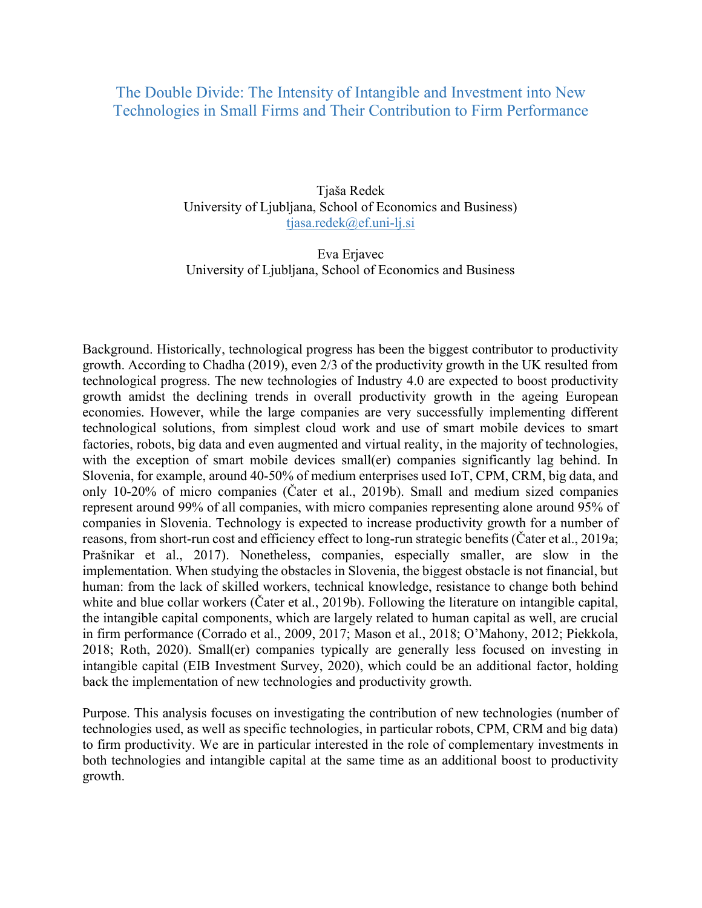## The Double Divide: The Intensity of Intangible and Investment into New Technologies in Small Firms and Their Contribution to Firm Performance

Tjaša Redek University of Ljubljana, School of Economics and Business) tjasa.redek@ef.uni-lj.si

Eva Erjavec University of Ljubljana, School of Economics and Business

Background. Historically, technological progress has been the biggest contributor to productivity growth. According to Chadha (2019), even 2/3 of the productivity growth in the UK resulted from technological progress. The new technologies of Industry 4.0 are expected to boost productivity growth amidst the declining trends in overall productivity growth in the ageing European economies. However, while the large companies are very successfully implementing different technological solutions, from simplest cloud work and use of smart mobile devices to smart factories, robots, big data and even augmented and virtual reality, in the majority of technologies, with the exception of smart mobile devices small(er) companies significantly lag behind. In Slovenia, for example, around 40-50% of medium enterprises used IoT, CPM, CRM, big data, and only 10-20% of micro companies (Čater et al., 2019b). Small and medium sized companies represent around 99% of all companies, with micro companies representing alone around 95% of companies in Slovenia. Technology is expected to increase productivity growth for a number of reasons, from short-run cost and efficiency effect to long-run strategic benefits (Čater et al., 2019a; Prašnikar et al., 2017). Nonetheless, companies, especially smaller, are slow in the implementation. When studying the obstacles in Slovenia, the biggest obstacle is not financial, but human: from the lack of skilled workers, technical knowledge, resistance to change both behind white and blue collar workers (Čater et al., 2019b). Following the literature on intangible capital, the intangible capital components, which are largely related to human capital as well, are crucial in firm performance (Corrado et al., 2009, 2017; Mason et al., 2018; O'Mahony, 2012; Piekkola, 2018; Roth, 2020). Small(er) companies typically are generally less focused on investing in intangible capital (EIB Investment Survey, 2020), which could be an additional factor, holding back the implementation of new technologies and productivity growth.

Purpose. This analysis focuses on investigating the contribution of new technologies (number of technologies used, as well as specific technologies, in particular robots, CPM, CRM and big data) to firm productivity. We are in particular interested in the role of complementary investments in both technologies and intangible capital at the same time as an additional boost to productivity growth.